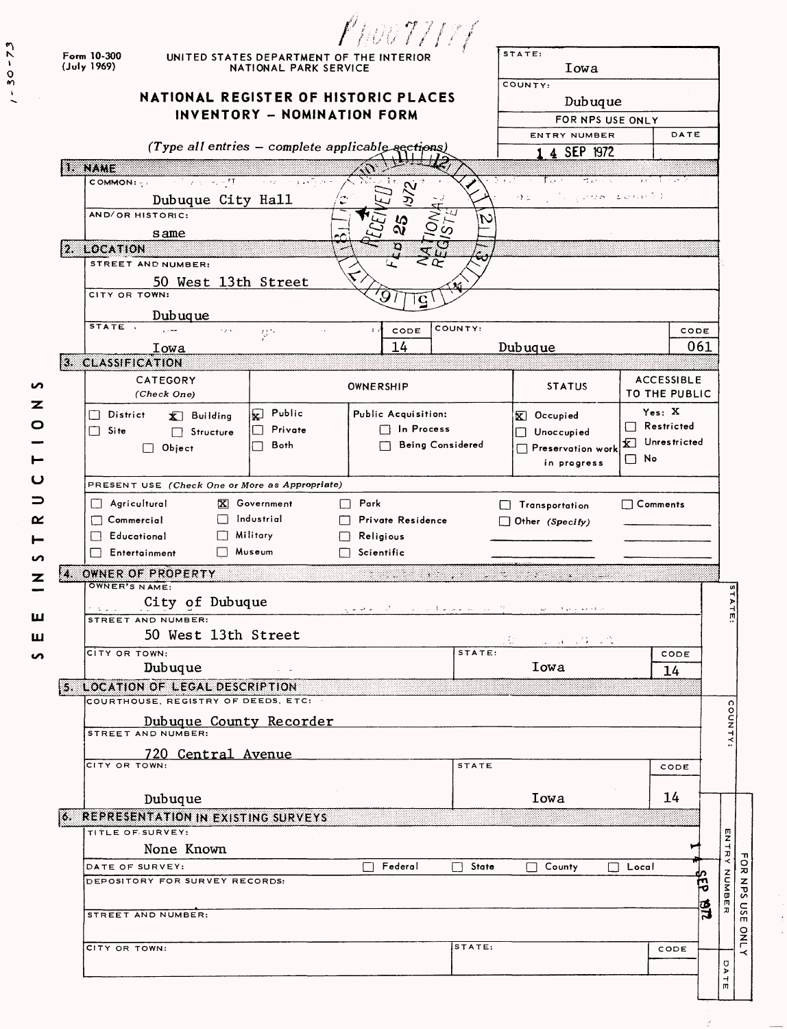|        |                                                                          | Phov 77777                                  |                                              |                                               |
|--------|--------------------------------------------------------------------------|---------------------------------------------|----------------------------------------------|-----------------------------------------------|
|        | Form 10-300<br>UNITED STATES DEPARTMENT OF THE INTERIOR<br>(July 1969)   | NATIONAL PARK SERVICE                       | STATE:<br>Iowa                               |                                               |
|        | <b>NATIONAL REGISTER OF HISTORIC PLACES</b>                              |                                             | COUNTY:                                      |                                               |
|        | INVENTORY - NOMINATION FORM                                              |                                             |                                              | Dubuque<br>FOR NPS USE ONLY                   |
|        |                                                                          |                                             | ENTRY NUMBER                                 | DATE                                          |
|        | (Type all entries - complete applicable sections)                        |                                             | 4 SEP 1972                                   |                                               |
|        | 1. NAME                                                                  |                                             |                                              |                                               |
|        | <b>COMMON:</b> See the Constant of the Common Party of the Constant      |                                             | Final<br>$\mathcal{A} \subset \mathcal{A}$ . | in the State<br>ಿ. <sub>ನ</sub> ಾಲಕ ಹಾಲಾಗಿ 20 |
|        | Dubuque City Hall<br>AND/OR HISTORIC:                                    |                                             |                                              |                                               |
|        | same                                                                     | $\mathcal{S}$                               |                                              |                                               |
|        | 2. LOCATION                                                              |                                             |                                              |                                               |
|        | STREET AND NUMBER:                                                       |                                             |                                              |                                               |
|        | 50 West 13th Street<br>CITY OR TOWN:                                     |                                             |                                              |                                               |
|        | Dubuque                                                                  |                                             |                                              |                                               |
|        | STATE .<br>$\epsilon$ yr $\epsilon$ .<br>$\mathbf{Q}$ :                  | CODE<br>$\pm$ $\star$<br>$\mathbf{y}$       | COUNTY:                                      | CODE                                          |
|        | Iowa                                                                     | 14                                          | Dubuque                                      | 061                                           |
|        | 3. CLASSIFICATION                                                        |                                             |                                              |                                               |
| n      | CATEGORY<br>(Check One)                                                  | OWNERSHIP                                   | <b>STATUS</b>                                | <b>ACCESSIBLE</b><br>TO THE PUBLIC            |
| z      | Public<br>$\Box$ District<br>$\bar{x}$ Building                          | Public Acquisition:                         | $\overline{X}$ Occupied                      | Yes: X                                        |
| O      | Private<br>$\Box$ Site<br>$\Box$ Structure                               | □ In Process                                | Unoccupied                                   | $\Box$ Restricted                             |
|        | Both<br>$\blacksquare$<br>$\Box$ Object                                  | <b>Being Considered</b>                     | Preservation work                            | <b>X</b> Unrestricted                         |
|        |                                                                          |                                             | in progress                                  | $\Box$ No                                     |
| ပ      | PRESENT USE (Check One or More as Appropriate)                           |                                             |                                              |                                               |
|        | $\Box$ Agricultural<br>X Government                                      | Park<br>$\Box$                              | Transportation                               | $\Box$ Comments                               |
| ≃      | $\Box$ Industrial<br>$\Box$ Commercial<br>Military<br>$\Box$ Educational | Private Residence<br>Religious              | $\Box$ Other (Specify)                       |                                               |
|        | $\Box$ Museum<br>$\Box$ Entertainment                                    | $\Box$ Scientific                           |                                              |                                               |
| ഗ<br>z | OWNER OF PROPERTY                                                        | 98. W                                       | 223333                                       |                                               |
|        | OWNER'S NAME:                                                            |                                             |                                              |                                               |
| ш      | City of Dubuque<br>STREET AND NUMBER:                                    | المتكافئ المتعملة المتاري المتكافئ العاهدين | فكالأخاصة المنحولة التناسيس والتنا           | Þ<br>m                                        |
| ш      | 50 West 13th Street                                                      |                                             | ja ja 1901.                                  |                                               |
| ഗ      | CITY OR TOWN:                                                            |                                             | STATE:                                       | CODE                                          |
|        | Dubuque                                                                  |                                             | Iowa                                         | 14                                            |
|        | 5. LOCATION OF LEGAL DESCRIPTION<br>COURTHOUSE, REGISTRY OF DEEDS, ETC:  |                                             |                                              |                                               |
|        |                                                                          |                                             |                                              |                                               |
|        | <b>Dubuque County Recorder</b>                                           |                                             |                                              | COUNTY:                                       |
|        | 720 Central Avenue<br>CITY OR TOWN:                                      |                                             |                                              |                                               |
|        |                                                                          |                                             | STATE                                        | CODE                                          |
|        | Dubuque                                                                  |                                             | Iowa                                         | 14                                            |
|        | <b>6. REPRESENTATION IN EXISTING SURVEYS</b>                             |                                             |                                              |                                               |
|        | TITLE OF SURVEY:                                                         |                                             |                                              |                                               |
|        | None Known                                                               |                                             |                                              | ENTRY                                         |
|        | DATE OF SURVEY:<br>DEPOSITORY FOR SURVEY RECORDS:                        | Federal                                     | $\Box$ State<br>$\Box$ County                | FOR NPS USE<br>$\Box$ Local                   |
|        |                                                                          |                                             |                                              | NUMBE                                         |
|        | STREET AND NUMBER:                                                       |                                             |                                              | ತ್ವ                                           |
|        |                                                                          |                                             | STATE:                                       | <b>ONLY</b>                                   |
|        | CITY OR TOWN:                                                            |                                             |                                              | CODE                                          |
|        |                                                                          |                                             |                                              | DATE                                          |
|        |                                                                          |                                             |                                              |                                               |

 $\mathcal{L}^{\pm}$ 

 $1 - 30 - 73$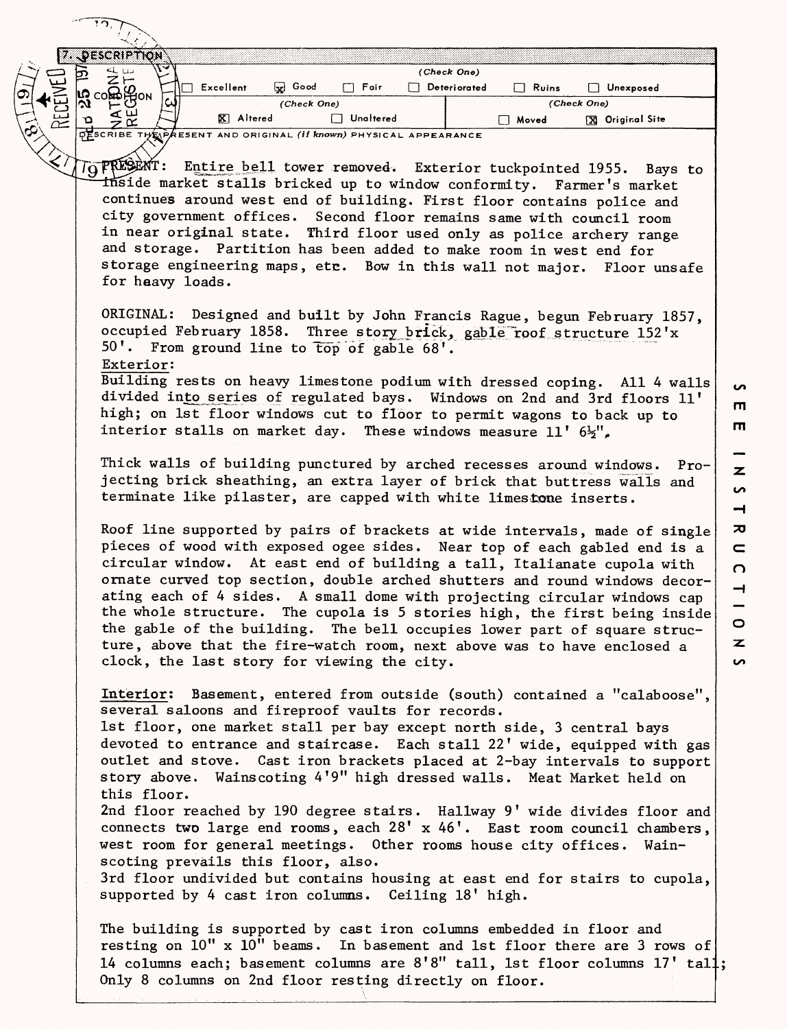|   | <b>PESCRIPTION</b>                                                                                                                                                                                                                                                                                                                                                                                                                                                                                                                                                                                                                                                             | (Check One)                         |                                                                                                           |  |  |  |  |  |
|---|--------------------------------------------------------------------------------------------------------------------------------------------------------------------------------------------------------------------------------------------------------------------------------------------------------------------------------------------------------------------------------------------------------------------------------------------------------------------------------------------------------------------------------------------------------------------------------------------------------------------------------------------------------------------------------|-------------------------------------|-----------------------------------------------------------------------------------------------------------|--|--|--|--|--|
|   | जि<br><b>Ex</b> Good<br>$\Box$ Excellent<br>Fair<br><b>ပြီး လဲဗျား</b> မြီလ (<br>(Check One)                                                                                                                                                                                                                                                                                                                                                                                                                                                                                                                                                                                   | $\Box$ Deteriorated<br>$\Box$ Ruins | Unexposed<br>(Check One)                                                                                  |  |  |  |  |  |
| 足 | $\frac{4}{5}$<br>X Altered<br>Unaltered<br>ΥO                                                                                                                                                                                                                                                                                                                                                                                                                                                                                                                                                                                                                                  | □ Moved                             | <b>X</b> Original Site                                                                                    |  |  |  |  |  |
|   | DESCRIBE THE PAESENT AND ORIGINAL (If known) PHYSICAL APPEARANCE                                                                                                                                                                                                                                                                                                                                                                                                                                                                                                                                                                                                               |                                     |                                                                                                           |  |  |  |  |  |
|   |                                                                                                                                                                                                                                                                                                                                                                                                                                                                                                                                                                                                                                                                                |                                     |                                                                                                           |  |  |  |  |  |
|   | TO PRESENT: Entire bell tower removed. Exterior tuckpointed 1955. Bays to<br>inside market stalls bricked up to window conformity. Farmer's market<br>continues around west end of building. First floor contains police and<br>city government offices. Second floor remains same with council room<br>in near original state. Third floor used only as police archery range<br>and storage. Partition has been added to make room in west end for<br>storage engineering maps, etc. Bow in this wall not major. Floor unsafe<br>for heavy loads.                                                                                                                             |                                     |                                                                                                           |  |  |  |  |  |
|   | ORIGINAL: Designed and built by John Francis Rague, begun February 1857,<br>occupied February 1858. Three story brick, gable roof structure 152'x<br>50'. From ground line to top of gable 68'.<br>Exterior:                                                                                                                                                                                                                                                                                                                                                                                                                                                                   |                                     |                                                                                                           |  |  |  |  |  |
|   | Building rests on heavy limestone podium with dressed coping. All 4 walls<br>S<br>divided into series of regulated bays. Windows on 2nd and 3rd floors 11'<br>m<br>high; on 1st floor windows cut to floor to permit wagons to back up to<br>$\mathbf{m}$<br>interior stalls on market day. These windows measure 11' $6\frac{1}{2}$ ",                                                                                                                                                                                                                                                                                                                                        |                                     |                                                                                                           |  |  |  |  |  |
|   | Thick walls of building punctured by arched recesses around windows. Pro-<br>$\mathbf{z}$<br>jecting brick sheathing, an extra layer of brick that buttress walls and<br>$\sim$<br>terminate like pilaster, are capped with white limestone inserts.<br>$\rightarrow$                                                                                                                                                                                                                                                                                                                                                                                                          |                                     |                                                                                                           |  |  |  |  |  |
|   | Roof line supported by pairs of brackets at wide intervals, made of single<br>pieces of wood with exposed ogee sides. Near top of each gabled end is a<br>circular window. At east end of building a tall, Italianate cupola with<br>ornate curved top section, double arched shutters and round windows decor-<br>ating each of 4 sides. A small dome with projecting circular windows cap<br>the whole structure. The cupola is 5 stories high, the first being inside<br>the gable of the building. The bell occupies lower part of square struc-<br>ture, above that the fire-watch room, next above was to have enclosed a<br>clock, the last story for viewing the city. |                                     | ᅎ<br>$\qquad \qquad \blacksquare$<br>$\Omega$<br>$\overline{\phantom{a}}$<br>$\circ$<br>$\mathbf{z}$<br>S |  |  |  |  |  |
|   | Interior: Basement, entered from outside (south) contained a "calaboose",<br>several saloons and fireproof vaults for records.<br>1st floor, one market stall per bay except north side, 3 central bays<br>devoted to entrance and staircase. Each stall 22' wide, equipped with gas<br>outlet and stove. Cast iron brackets placed at 2-bay intervals to support<br>story above. Wainscoting 4'9" high dressed walls. Meat Market held on<br>this floor.                                                                                                                                                                                                                      |                                     |                                                                                                           |  |  |  |  |  |
|   | 2nd floor reached by 190 degree stairs. Hallway 9' wide divides floor and<br>connects two large end rooms, each 28' x 46'. East room council chambers,<br>west room for general meetings. Other rooms house city offices. Wain-<br>scoting prevails this floor, also.<br>3rd floor undivided but contains housing at east end for stairs to cupola,<br>supported by 4 cast iron columns. Ceiling 18' high.                                                                                                                                                                                                                                                                     |                                     |                                                                                                           |  |  |  |  |  |
|   | The building is supported by cast iron columns embedded in floor and<br>resting on 10" x 10" beams. In basement and 1st floor there are 3 rows of<br>14 columns each; basement columns are 8'8" tall, 1st floor columns 17' tall;<br>Only 8 columns on 2nd floor resting directly on floor.                                                                                                                                                                                                                                                                                                                                                                                    |                                     |                                                                                                           |  |  |  |  |  |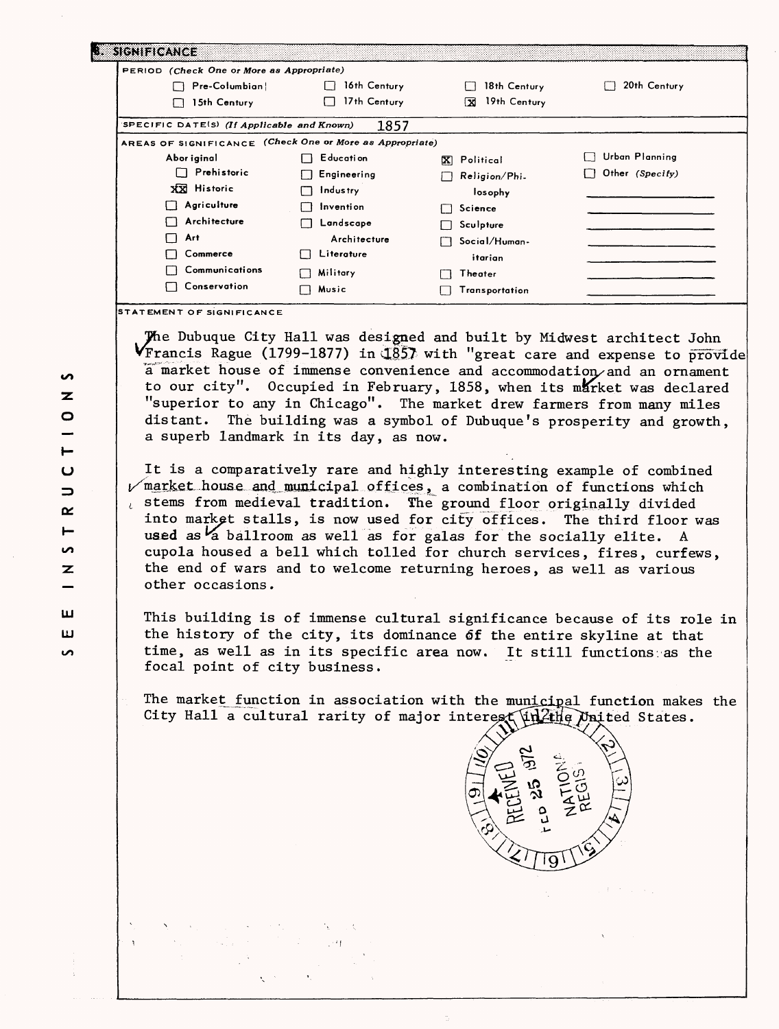| PERIOD (Check One or More as Appropriate)                |                   |                    |                 |
|----------------------------------------------------------|-------------------|--------------------|-----------------|
| Pre-Columbian                                            | 16th Century      | 18th Century       | 20th Century    |
| 15th Century                                             | 17th Century      | 19th Century<br>LΧ |                 |
| SPECIFIC DATE(S) (If Applicable and Known)               | 1857              |                    |                 |
| AREAS OF SIGNIFICANCE (Check One or More as Appropriate) |                   |                    |                 |
| Abor iginal                                              | E ducati on       | X Political        | Urban Planning  |
| Prehistoric<br>l 1                                       | Engineering<br>ΓI | Religion/Phi.      | Other (Specify) |
| XX Historic                                              | Industry          | losophy            |                 |
| Agriculture                                              | Invention         | Science            |                 |
| Architecture                                             | Landscape         | Sculpture          |                 |
| Art                                                      | Architecture      | Social/Human-      |                 |
| Commerce                                                 | Literature        | itarian            |                 |
| Communications                                           | Military          | Theater            |                 |
| Conservation                                             | Music             | Transportation     |                 |

**STATEMENT OF SIGNIFICANCE**

The Dubuque City Hall was designed and built by Midwest architect John  $V$ Francis Rague (1799-1877) in  $\frac{1857}{100}$  with "great care and expense to provide a'market house of immense convenience and accommodation/and an ornament to our city". Occupied in February, 1858, when its market was declared "superior to any in Chicago". The market drew farmers from many miles distant. The building was a symbol of Dubuque's prosperity and growth, a superb landmark in its day, as now.

It is a comparatively rare and highly interesting example of combined  $\nu$  market house and municipal offices, a combination of functions which stems from medieval tradition. The ground floor originally divided into market stalls, is now used for city offices. The third floor was used as a ballroom as well as for galas for the socially elite. A cupola housed a bell which tolled for church services, fires, curfews, the end of wars and to welcome returning heroes, as well as various other occasions.

This building is of immense cultural significance because of its role in the history of the city, its dominance df the entire skyline at that time, as well as in its specific area now. It still functions as the focal point of city business.

The marke<u>t function in association with the municipa</u>l func**tio**n makes the City Hall a cultural rarity of major interest linkthe United States.



 $\overline{z}$  $\circ$ I- $\mathbf{\Omega}$  $\Rightarrow$ a: −  $\overline{a}$  $\mathbf{z}$ ш **LJ**  $\sim$ 

S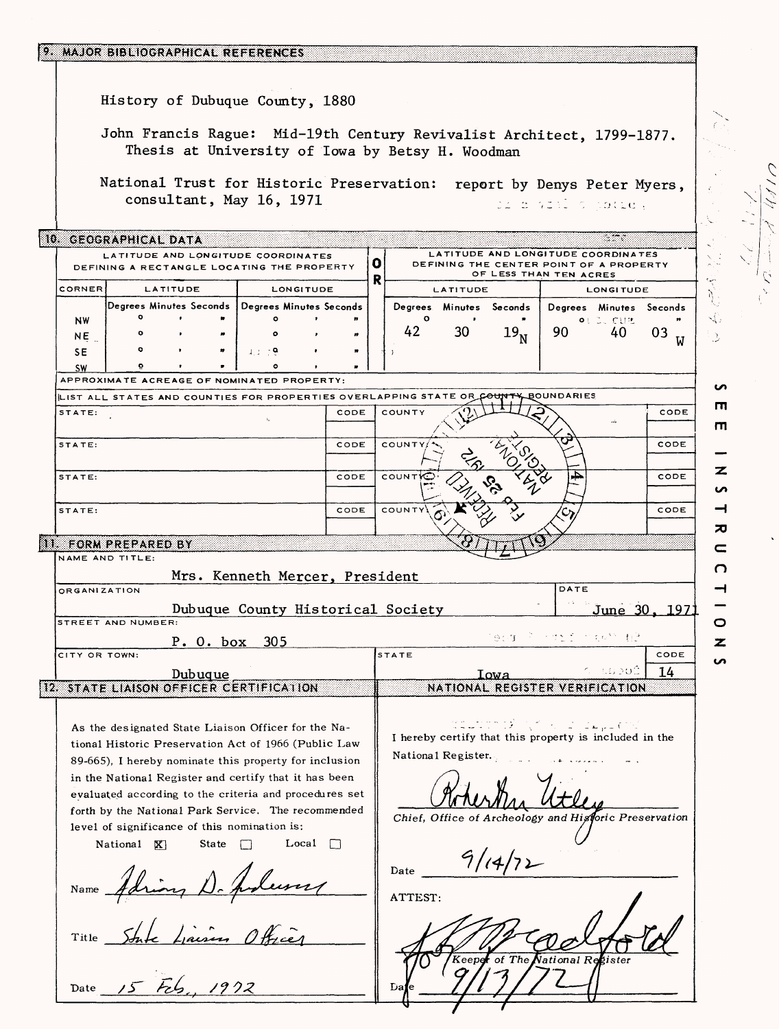| 9. MAJOR BIBLIOGRAPHICAL REFERENCES                                                                                       |   |              |                    |                         |                                |                                                        |   |  |  |
|---------------------------------------------------------------------------------------------------------------------------|---|--------------|--------------------|-------------------------|--------------------------------|--------------------------------------------------------|---|--|--|
| History of Dubuque County, 1880                                                                                           |   |              |                    |                         |                                |                                                        |   |  |  |
| John Francis Rague: Mid-19th Century Revivalist Architect, 1799-1877.<br>Thesis at University of Iowa by Betsy H. Woodman |   |              |                    |                         |                                |                                                        |   |  |  |
| National Trust for Historic Preservation: report by Denys Peter Myers,<br>consultant, May 16, 1971<br>di novembre cotte,  |   |              |                    |                         |                                |                                                        |   |  |  |
| S.<br>10. GEOGRAPHICAL DATA<br>LATITUDE AND LONGITUDE COORDINATES<br>LATITUDE AND LONGITUDE COORDINATES                   |   |              |                    |                         |                                |                                                        |   |  |  |
| o<br>DEFINING THE CENTER POINT OF A PROPERTY<br>DEFINING A RECTANGLE LOCATING THE PROPERTY<br>OF LESS THAN TEN ACRES<br>R |   |              |                    |                         |                                |                                                        |   |  |  |
| CORNER<br>LATITUDE<br>LONGITUDE                                                                                           |   |              | <b>LATITUDE</b>    |                         |                                | <b>LONGITUDE</b>                                       |   |  |  |
| Degrees Minutes Seconds   Degrees Minutes Seconds                                                                         |   | $\mathbf{o}$ |                    | Degrees Minutes Seconds |                                | Degrees Minutes Seconds                                |   |  |  |
| <b>NW</b><br>NE.                                                                                                          | n | 42           | 30                 | 19 <sub>N</sub>         | <b>OL DU CUR</b><br>90         | 40<br>03                                               | 3 |  |  |
| ۰<br>$4.1 - 79.$<br><b>SE</b>                                                                                             |   |              |                    |                         |                                |                                                        |   |  |  |
| ۰<br>$\bullet$<br><b>SW</b>                                                                                               |   |              |                    |                         |                                |                                                        |   |  |  |
| APPROXIMATE ACREAGE OF NOMINATED PROPERTY:                                                                                |   |              |                    |                         |                                |                                                        |   |  |  |
| LIST ALL STATES AND COUNTIES FOR PROPERTIES OVERLAPPING STATE OR COUNT<br>CODE<br>STATE:                                  |   | COUNTY       |                    |                         | <b>BOUNDARIES</b>              | CODE                                                   | Ш |  |  |
|                                                                                                                           |   |              |                    |                         |                                |                                                        | m |  |  |
| CODE<br>STATE:                                                                                                            |   | COUNTY       |                    |                         |                                | CODE                                                   |   |  |  |
|                                                                                                                           |   |              |                    |                         |                                |                                                        | z |  |  |
| CODE<br>STATE:                                                                                                            |   | <b>COUNT</b> |                    |                         |                                | CODE                                                   | n |  |  |
| CODE<br>STATE:                                                                                                            |   | COUNTY       |                    |                         |                                | CODE                                                   |   |  |  |
|                                                                                                                           |   |              |                    |                         |                                |                                                        | ᅍ |  |  |
| 11. FORM PREPARED BY                                                                                                      |   |              |                    |                         |                                |                                                        | c |  |  |
| NAME AND TITLE:                                                                                                           |   |              |                    |                         |                                |                                                        | O |  |  |
| Mrs. Kenneth Mercer, President                                                                                            |   |              |                    |                         | DATE                           |                                                        |   |  |  |
| <b>ORGANIZATION</b>                                                                                                       |   |              |                    |                         |                                |                                                        |   |  |  |
| Dubuque County Historical Society<br>STREET AND NUMBER:                                                                   |   |              |                    |                         |                                | June 30, 1971                                          | O |  |  |
| P. O. box 305                                                                                                             |   |              |                    | 91 T                    |                                |                                                        | z |  |  |
| CITY OR TOWN:                                                                                                             |   | STATE        |                    |                         |                                | CODE                                                   | ∽ |  |  |
| <u>Dubuque</u>                                                                                                            |   |              |                    | Iowa                    |                                | ระ ปลองมิ<br>14                                        |   |  |  |
| 12. STATE LIAISON OFFICER CERTIFICATION                                                                                   |   |              |                    |                         | NATIONAL REGISTER VERIFICATION |                                                        |   |  |  |
|                                                                                                                           |   |              |                    |                         |                                |                                                        |   |  |  |
| As the designated State Liaison Officer for the Na-                                                                       |   |              |                    |                         | Qazzoz≯ ((f. 604), laya (150   | I hereby certify that this property is included in the |   |  |  |
| tional Historic Preservation Act of 1966 (Public Law                                                                      |   |              | National Register. |                         |                                |                                                        |   |  |  |
| 89-665), I hereby nominate this property for inclusion                                                                    |   |              |                    |                         |                                |                                                        |   |  |  |
| in the National Register and certify that it has been<br>evaluated according to the criteria and procedures set           |   |              |                    |                         |                                |                                                        |   |  |  |
| forth by the National Park Service. The recommended                                                                       |   |              |                    |                         |                                |                                                        |   |  |  |
| level of significance of this nomination is:                                                                              |   |              |                    |                         |                                | Chief, Office of Archeology and Historic Preservation  |   |  |  |
| Local $\Box$<br>State<br>National <b>X</b>                                                                                |   |              |                    |                         |                                |                                                        |   |  |  |
|                                                                                                                           |   | Date         |                    |                         |                                |                                                        |   |  |  |
| Name $\overrightarrow{A}$                                                                                                 |   |              |                    |                         |                                |                                                        |   |  |  |
|                                                                                                                           |   | ATTEST:      |                    |                         |                                |                                                        |   |  |  |
|                                                                                                                           |   |              |                    |                         |                                |                                                        |   |  |  |
| Title                                                                                                                     |   |              |                    |                         |                                |                                                        |   |  |  |
|                                                                                                                           |   |              |                    | Keeper of The           | National Register              |                                                        |   |  |  |
|                                                                                                                           |   |              |                    |                         |                                |                                                        |   |  |  |
| 1922<br>Date $15$ $125$                                                                                                   |   | Da           |                    |                         |                                |                                                        |   |  |  |

UN You a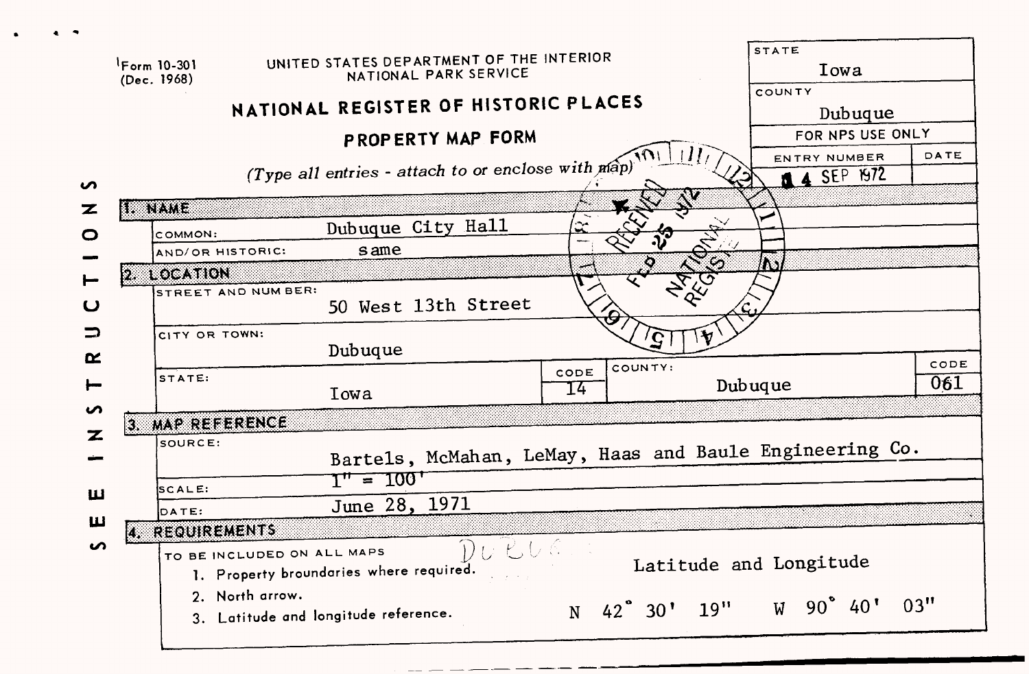|                  |                                         |                                                                   |         |                            |               | <b>STATE</b> |                                    |      |  |
|------------------|-----------------------------------------|-------------------------------------------------------------------|---------|----------------------------|---------------|--------------|------------------------------------|------|--|
|                  | $15 \text{ cm} 10 - 301$<br>(Dec. 1968) | UNITED STATES DEPARTMENT OF THE INTERIOR<br>NATIONAL PARK SERVICE |         |                            | Iowa          |              |                                    |      |  |
|                  |                                         | NATIONAL REGISTER OF HISTORIC PLACES                              |         |                            |               | COUNTY       |                                    |      |  |
|                  |                                         |                                                                   |         |                            |               |              | Dubuque                            |      |  |
|                  |                                         | PROPERTY MAP FORM                                                 |         |                            |               |              | FOR NPS USE ONLY                   |      |  |
| S                |                                         | (Type all entries - attach to or enclose with map)                |         |                            |               |              | ENTRY NUMBER<br><b>14 SEP 1972</b> | DATE |  |
| z                | <b>EXERCITOS</b>                        |                                                                   |         |                            | Ņ             |              |                                    |      |  |
| O                | COMMON:                                 | Dubuque City Hall                                                 | .<br>من |                            |               |              |                                    |      |  |
|                  | AND/OR HISTORIC:                        | same                                                              |         | $\boldsymbol{\mathcal{C}}$ |               |              |                                    |      |  |
|                  | 2. LOCATION                             |                                                                   |         |                            | E             |              |                                    |      |  |
| $\vdash$         | STREET AND NUM BER:                     |                                                                   |         |                            |               |              |                                    |      |  |
| $\mathbf \omega$ |                                         | 50 West 13th Street                                               |         |                            |               |              |                                    |      |  |
| ⊃                | CITY OR TOWN:                           |                                                                   |         | Ç                          | $\mathcal{H}$ |              |                                    |      |  |
| $\alpha$         |                                         | Dubuque                                                           |         |                            |               |              |                                    |      |  |
|                  | STATE:                                  |                                                                   | CODE    | COUNTY:                    |               |              |                                    | CODE |  |
| ⊢                |                                         | Iowa                                                              | 14      |                            |               | Dubuque      |                                    | 061  |  |
| S                | 3. MAP REFERENCE                        |                                                                   |         |                            |               |              |                                    |      |  |
| z                | SOURCE:                                 |                                                                   |         |                            |               |              |                                    |      |  |
|                  |                                         | Bartels, McMahan, LeMay, Haas and Baule Engineering Co.           |         |                            |               |              |                                    |      |  |
|                  | SCALE:                                  | <u>י100 – ייד</u>                                                 |         |                            |               |              |                                    |      |  |
| ш                |                                         | June 28, 1971                                                     |         |                            |               |              |                                    |      |  |
| Ш                | DATE:<br>4. REQUIREMENTS                |                                                                   |         |                            |               |              |                                    |      |  |
| n                | TO BE INCLUDED ON ALL MAPS              | 74. G. C<br>1. Property broundaries where required.               |         |                            |               |              | Latitude and Longitude             |      |  |
|                  | 2. North arrow.                         |                                                                   |         |                            |               |              |                                    |      |  |
|                  |                                         | 3. Latitude and longitude reference.                              |         | N 42° 30' 19"              |               |              | $W$ 90° 40'                        | 03"  |  |
|                  |                                         |                                                                   |         |                            |               |              |                                    |      |  |